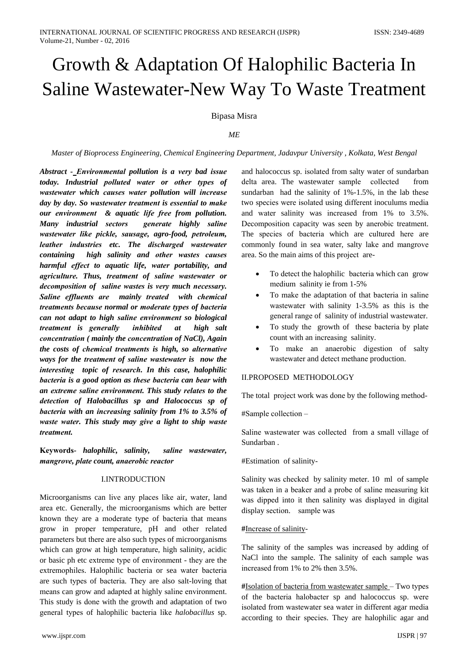Bipasa Misra

## $ME$

### Master of Bioprocess Engineering, Chemical Engineering Department, Jadavpur University, Kolkata, West Bengal

Abstract - Environmental pollution is a very bad issue today. Industrial polluted water or other types of wastewater which causes water pollution will increase day by day. So wastewater treatment is essential to make our environment & aquatic life free from pollution. Many industrial sectors generate highly saline wastewater like pickle, sausage, agro-food, petroleum, leather industries etc. The discharged wastewater containing high salinity and other wastes causes harmful effect to aquatic life, water portability, and agriculture. Thus, treatment of saline wastewater or decomposition of saline wastes is very much necessary. Saline effluents are mainly treated with chemical treatments because normal or moderate types of bacteria can not adapt to high saline environment so biological treatment is generally *inhibited* at high salt concentration (mainly the concentration of NaCl), Again the costs of chemical treatments is high, so alternative ways for the treatment of saline wastewater is now the interesting topic of research. In this case, halophilic bacteria is a good option as these bacteria can bear with an extreme saline environment. This study relates to the detection of Halobacillus sp and Halococcus sp of bacteria with an increasing salinity from  $1\%$  to 3.5% of waste water. This study may give a light to ship waste treatment.

Keywords- halophilic, salinity, saline wastewater, mangrove, plate count, anaerobic reactor

### **LINTRODUCTION**

Microorganisms can live any places like air, water, land area etc. Generally, the microorganisms which are better known they are a moderate type of bacteria that means grow in proper temperature, pH and other related parameters but there are also such types of microorganisms which can grow at high temperature, high salinity, acidic or basic ph etc extreme type of environment - they are the extremophiles. Halophilic bacteria or sea water bacteria are such types of bacteria. They are also salt-loving that means can grow and adapted at highly saline environment. This study is done with the growth and adaptation of two general types of halophilic bacteria like *halobacillus* sp.

and halococcus sp. isolated from salty water of sundarban delta area. The wastewater sample collected from sundarban had the salinity of 1%-1.5%, in the lab these two species were isolated using different inoculums media and water salinity was increased from 1% to 3.5%. Decomposition capacity was seen by anerobic treatment. The species of bacteria which are cultured here are commonly found in sea water, salty lake and mangrove area. So the main aims of this project are-

- To detect the halophilic bacteria which can grow medium salinity ie from 1-5%
- To make the adaptation of that bacteria in saline wastewater with salinity 1-3.5% as this is the general range of salinity of industrial wastewater.
- To study the growth of these bacteria by plate count with an increasing salinity.
- To make an anaerobic digestion of salty wastewater and detect methane production.

### **II PROPOSED METHODOLOGY**

The total project work was done by the following method-

#Sample collection -

Saline was tewater was collected from a small village of Sundarban.

#Estimation of salinity-

Salinity was checked by salinity meter. 10 ml of sample was taken in a beaker and a probe of saline measuring kit was dipped into it then salinity was displayed in digital display section. sample was

### #Increase of salinity-

The salinity of the samples was increased by adding of NaCl into the sample. The salinity of each sample was increased from 1% to 2% then 3.5%.

#Isolation of bacteria from wastewater sample – Two types of the bacteria halobacter sp and halococcus sp. were isolated from wastewater sea water in different agar media according to their species. They are halophilic agar and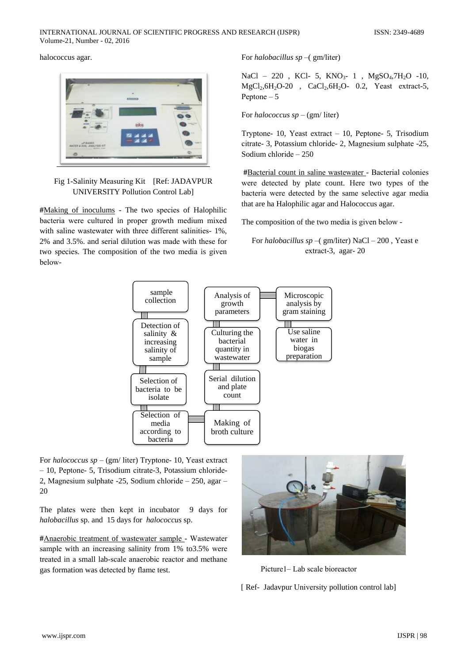halococcus agar.



# Fig 1-Salinity Measuring Kit [Ref: JADAVPUR **UNIVERSITY Pollution Control Lab]**

#Making of inoculums - The two species of Halophilic bacteria were cultured in proper growth medium mixed with saline wastewater with three different salinities-1%. 2% and 3.5%. and serial dilution was made with these for two species. The composition of the two media is given belowFor halobacillus  $sp - (gm/liter)$ 

NaCl - 220, KCl - 5, KNO<sub>3</sub> - 1, MgSO<sub>4</sub>,7H<sub>2</sub>O -10,  $MgCl<sub>2</sub>, 6H<sub>2</sub>O-20$ , CaCl<sub>2</sub>, 6H<sub>2</sub>O- 0.2, Yeast extract-5, Peptone  $-5$ 

For *halococcus sp* – (gm/ liter)

Tryptone- 10, Yeast extract - 10, Peptone- 5, Trisodium citrate-3, Potassium chloride-2, Magnesium sulphate -25, Sodium chloride  $-250$ 

#Bacterial count in saline wastewater - Bacterial colonies were detected by plate count. Here two types of the bacteria were detected by the same selective agar media that are ha Halophilic agar and Halococcus agar.

The composition of the two media is given below -

For halobacillus sp –( $gm/liter$ ) NaCl – 200, Yeast e extract-3, agar-20



For halococcus sp – (gm/ liter) Tryptone- 10, Yeast extract - 10, Peptone- 5, Trisodium citrate-3, Potassium chloride-2, Magnesium sulphate  $-25$ , Sodium chloride  $-250$ , agar  $-$ 20

The plates were then kept in incubator 9 days for halobacillus sp. and 15 days for halococcus sp.

#Anaerobic treatment of wastewater sample - Wastewater sample with an increasing salinity from 1% to 3.5% were treated in a small lab-scale anaerobic reactor and methane gas formation was detected by flame test.



Picture1–Lab scale bioreactor

[ Ref- Jadavpur University pollution control lab]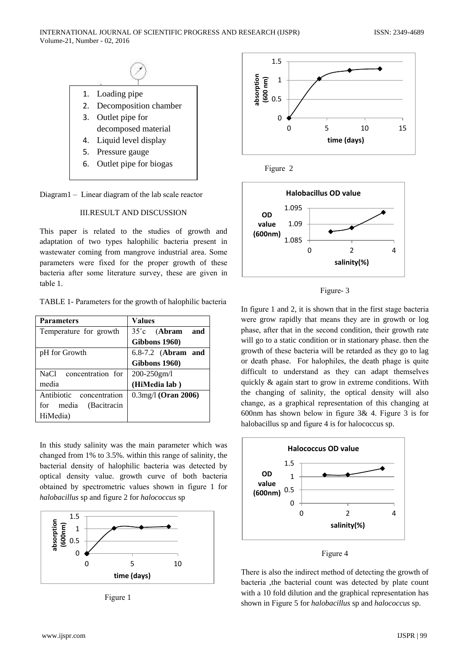

Diagram1 - Linear diagram of the lab scale reactor

# **III.RESULT AND DISCUSSION**

This paper is related to the studies of growth and adaptation of two types halophilic bacteria present in wastewater coming from mangrove industrial area. Some parameters were fixed for the proper growth of these bacteria after some literature survey, these are given in table 1.

|  |  |  |  | TABLE 1- Parameters for the growth of halophilic bacteria |  |
|--|--|--|--|-----------------------------------------------------------|--|
|--|--|--|--|-----------------------------------------------------------|--|

| <b>Parameters</b>        | <b>Values</b>                   |  |
|--------------------------|---------------------------------|--|
| Temperature for growth   | $35^{\circ}c$ (Abram<br>and     |  |
|                          | Gibbons 1960)                   |  |
| pH for Growth            | 6.8-7.2 (Abram and              |  |
|                          | Gibbons 1960)                   |  |
| NaCl concentration for   | $200 - 250$ gm/l                |  |
| media                    | (HiMedia lab)                   |  |
| Antibiotic concentration | $0.3$ mg/l ( <b>Oran 2006</b> ) |  |
| for media (Bacitracin    |                                 |  |
| HiMedia)                 |                                 |  |

In this study salinity was the main parameter which was changed from 1% to 3.5%, within this range of salinity, the bacterial density of halophilic bacteria was detected by optical density value. growth curve of both bacteria obtained by spectrometric values shown in figure 1 for halobacillus sp and figure 2 for halococcus sp



Figure 1



Figure 2



Figure-3

In figure 1 and 2, it is shown that in the first stage bacteria were grow rapidly that means they are in growth or log phase, after that in the second condition, their growth rate will go to a static condition or in stationary phase. then the growth of these bacteria will be retarded as they go to lag or death phase. For halophiles, the death phage is quite difficult to understand as they can adapt themselves quickly & again start to grow in extreme conditions. With the changing of salinity, the optical density will also change, as a graphical representation of this changing at 600nm has shown below in figure  $3\& 4$ . Figure 3 is for halobacillus sp and figure 4 is for halococcus sp.



Figure 4

There is also the indirect method of detecting the growth of bacteria ,the bacterial count was detected by plate count with a 10 fold dilution and the graphical representation has shown in Figure 5 for halobacillus sp and halococcus sp.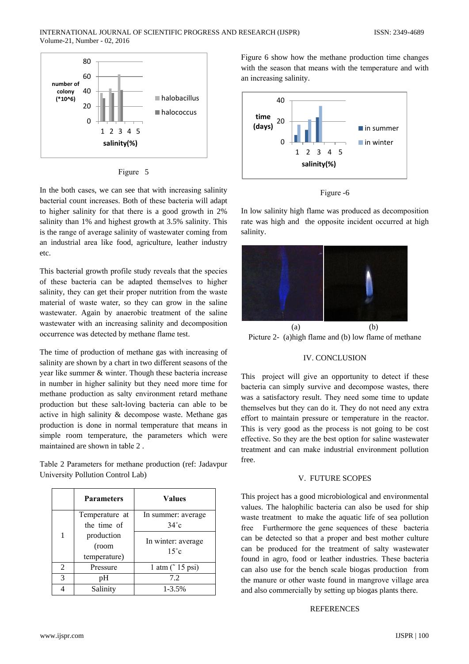

Figure 5

In the both cases, we can see that with increasing salinity bacterial count increases. Both of these bacteria will adapt to higher salinity for that there is a good growth in 2% salinity than 1% and highest growth at 3.5% salinity. This is the range of average salinity of wastewater coming from an industrial area like food, agriculture, leather industry etc.

This bacterial growth profile study reveals that the species of these bacteria can be adapted themselves to higher salinity, they can get their proper nutrition from the waste material of waste water, so they can grow in the saline wastewater. Again by anaerobic treatment of the saline wastewater with an increasing salinity and decomposition occurrence was detected by methane flame test.

The time of production of methane gas with increasing of salinity are shown by a chart in two different seasons of the year like summer & winter. Though these bacteria increase in number in higher salinity but they need more time for methane production as salty environment retard methane production but these salt-loving bacteria can able to be active in high salinity & decompose waste. Methane gas production is done in normal temperature that means in simple room temperature, the parameters which were maintained are shown in table 2.

Table 2 Parameters for methane production (ref: Jadavpur University Pollution Control Lab)

|                | <b>Parameters</b>                   | <b>Values</b>                        |
|----------------|-------------------------------------|--------------------------------------|
|                | Temperature at<br>the time of       | In summer: average<br>$34^{\circ}$ c |
|                | production<br>(room<br>temperature) | In winter: average<br>$15^{\circ}c$  |
| $\overline{2}$ | Pressure                            | $1$ atm $($ 15 psi)                  |
| 3              | pН                                  | 7.2                                  |
|                | Salinity                            | $1 - 3.5%$                           |

Figure 6 show how the methane production time changes with the season that means with the temperature and with an increasing salinity.





In low salinity high flame was produced as decomposition rate was high and the opposite incident occurred at high salinity.



Picture 2- (a) high flame and (b) low flame of methane

## **IV. CONCLUSION**

This project will give an opportunity to detect if these bacteria can simply survive and decompose wastes, there was a satisfactory result. They need some time to update themselves but they can do it. They do not need any extra effort to maintain pressure or temperature in the reactor. This is very good as the process is not going to be cost effective. So they are the best option for saline wastewater treatment and can make industrial environment pollution free.

## V. FUTURE SCOPES

This project has a good microbiological and environmental values. The halophilic bacteria can also be used for ship waste treatment to make the aquatic life of sea pollution free Furthermore the gene sequences of these bacteria can be detected so that a proper and best mother culture can be produced for the treatment of salty wastewater found in agro, food or leather industries. These bacteria can also use for the bench scale biogas production from the manure or other waste found in mangrove village area and also commercially by setting up biogas plants there.

#### **REFERENCES**